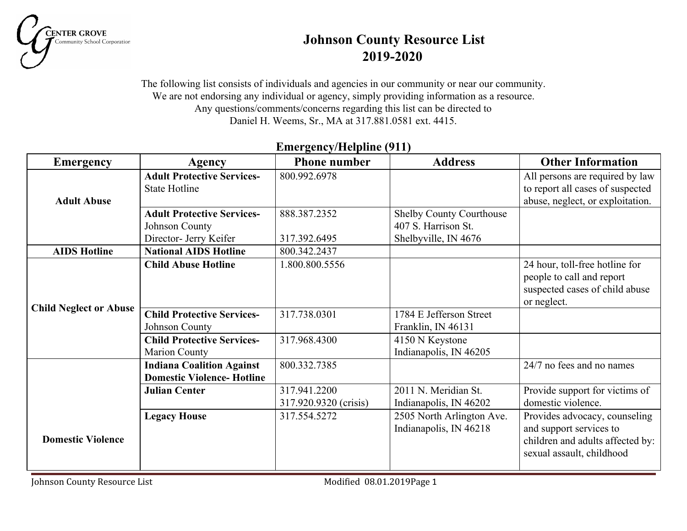

# **Johnson County Resource List 2019-2020**

The following list consists of individuals and agencies in our community or near our community. We are not endorsing any individual or agency, simply providing information as a resource. Any questions/comments/concerns regarding this list can be directed to Daniel H. Weems, Sr., MA at 317.881.0581 ext. 4415.

| <b>Emergency</b>              | Agency                                                               | <b>Phone number</b>                   | <b>Address</b>                                      | <b>Other Information</b>                                                                                                  |
|-------------------------------|----------------------------------------------------------------------|---------------------------------------|-----------------------------------------------------|---------------------------------------------------------------------------------------------------------------------------|
|                               | <b>Adult Protective Services-</b>                                    | 800.992.6978                          |                                                     | All persons are required by law                                                                                           |
|                               | <b>State Hotline</b>                                                 |                                       |                                                     | to report all cases of suspected                                                                                          |
| <b>Adult Abuse</b>            |                                                                      |                                       |                                                     | abuse, neglect, or exploitation.                                                                                          |
|                               | <b>Adult Protective Services-</b>                                    | 888.387.2352                          | <b>Shelby County Courthouse</b>                     |                                                                                                                           |
|                               | Johnson County                                                       |                                       | 407 S. Harrison St.                                 |                                                                                                                           |
|                               | Director- Jerry Keifer                                               | 317.392.6495                          | Shelbyville, IN 4676                                |                                                                                                                           |
| <b>AIDS Hotline</b>           | <b>National AIDS Hotline</b>                                         | 800.342.2437                          |                                                     |                                                                                                                           |
| <b>Child Neglect or Abuse</b> | <b>Child Abuse Hotline</b>                                           | 1.800.800.5556                        |                                                     | 24 hour, toll-free hotline for<br>people to call and report<br>suspected cases of child abuse<br>or neglect.              |
|                               | <b>Child Protective Services-</b><br>Johnson County                  | 317.738.0301                          | 1784 E Jefferson Street<br>Franklin, IN 46131       |                                                                                                                           |
|                               | <b>Child Protective Services-</b><br><b>Marion County</b>            | 317.968.4300                          | 4150 N Keystone<br>Indianapolis, IN 46205           |                                                                                                                           |
|                               | <b>Indiana Coalition Against</b><br><b>Domestic Violence-Hotline</b> | 800.332.7385                          |                                                     | 24/7 no fees and no names                                                                                                 |
|                               | <b>Julian Center</b>                                                 | 317.941.2200<br>317.920.9320 (crisis) | 2011 N. Meridian St.<br>Indianapolis, IN 46202      | Provide support for victims of<br>domestic violence.                                                                      |
| <b>Domestic Violence</b>      | <b>Legacy House</b>                                                  | 317.554.5272                          | 2505 North Arlington Ave.<br>Indianapolis, IN 46218 | Provides advocacy, counseling<br>and support services to<br>children and adults affected by:<br>sexual assault, childhood |

### **Emergency/Helpline (911)**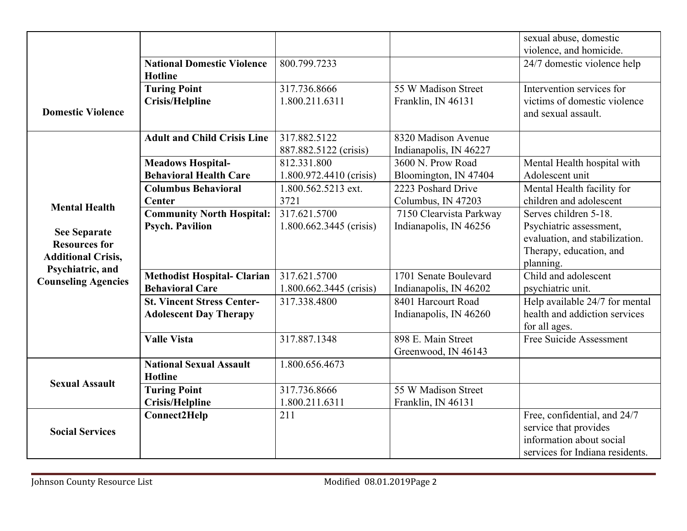|                            |                                    |                         |                         | sexual abuse, domestic          |
|----------------------------|------------------------------------|-------------------------|-------------------------|---------------------------------|
|                            |                                    |                         |                         | violence, and homicide.         |
|                            | <b>National Domestic Violence</b>  | 800.799.7233            |                         | 24/7 domestic violence help     |
|                            | <b>Hotline</b>                     |                         |                         |                                 |
|                            | <b>Turing Point</b>                | 317.736.8666            | 55 W Madison Street     | Intervention services for       |
|                            | <b>Crisis/Helpline</b>             | 1.800.211.6311          | Franklin, IN 46131      | victims of domestic violence    |
| <b>Domestic Violence</b>   |                                    |                         |                         | and sexual assault.             |
|                            |                                    |                         |                         |                                 |
|                            | <b>Adult and Child Crisis Line</b> | 317.882.5122            | 8320 Madison Avenue     |                                 |
|                            |                                    | 887.882.5122 (crisis)   | Indianapolis, IN 46227  |                                 |
|                            | <b>Meadows Hospital-</b>           | 812.331.800             | 3600 N. Prow Road       | Mental Health hospital with     |
|                            | <b>Behavioral Health Care</b>      | 1.800.972.4410 (crisis) | Bloomington, IN 47404   | Adolescent unit                 |
|                            | <b>Columbus Behavioral</b>         | 1.800.562.5213 ext.     | 2223 Poshard Drive      | Mental Health facility for      |
| <b>Mental Health</b>       | <b>Center</b>                      | 3721                    | Columbus, IN 47203      | children and adolescent         |
|                            | <b>Community North Hospital:</b>   | 317.621.5700            | 7150 Clearvista Parkway | Serves children 5-18.           |
| <b>See Separate</b>        | <b>Psych. Pavilion</b>             | 1.800.662.3445 (crisis) | Indianapolis, IN 46256  | Psychiatric assessment,         |
| <b>Resources for</b>       |                                    |                         |                         | evaluation, and stabilization.  |
| <b>Additional Crisis,</b>  |                                    |                         |                         | Therapy, education, and         |
| Psychiatric, and           |                                    |                         |                         | planning.                       |
| <b>Counseling Agencies</b> | <b>Methodist Hospital- Clarian</b> | 317.621.5700            | 1701 Senate Boulevard   | Child and adolescent            |
|                            | <b>Behavioral Care</b>             | 1.800.662.3445 (crisis) | Indianapolis, IN 46202  | psychiatric unit.               |
|                            | <b>St. Vincent Stress Center-</b>  | 317.338.4800            | 8401 Harcourt Road      | Help available 24/7 for mental  |
|                            | <b>Adolescent Day Therapy</b>      |                         | Indianapolis, IN 46260  | health and addiction services   |
|                            |                                    |                         |                         | for all ages.                   |
|                            | <b>Valle Vista</b>                 | 317.887.1348            | 898 E. Main Street      | Free Suicide Assessment         |
|                            |                                    |                         | Greenwood, IN 46143     |                                 |
|                            | <b>National Sexual Assault</b>     | 1.800.656.4673          |                         |                                 |
| <b>Sexual Assault</b>      | <b>Hotline</b>                     |                         |                         |                                 |
|                            | <b>Turing Point</b>                | 317.736.8666            | 55 W Madison Street     |                                 |
|                            | <b>Crisis/Helpline</b>             | 1.800.211.6311          | Franklin, IN 46131      |                                 |
|                            | Connect2Help                       | 211                     |                         | Free, confidential, and 24/7    |
| <b>Social Services</b>     |                                    |                         |                         | service that provides           |
|                            |                                    |                         |                         | information about social        |
|                            |                                    |                         |                         | services for Indiana residents. |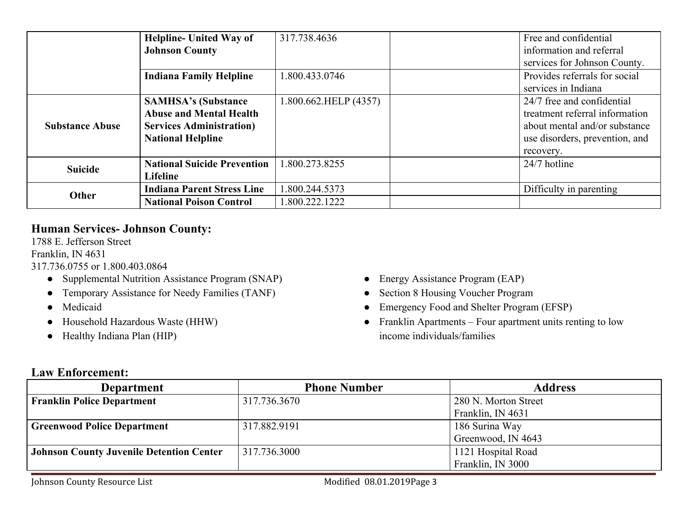|                        | <b>Helpline- United Way of</b>     | 317.738.4636          | Free and confidential          |
|------------------------|------------------------------------|-----------------------|--------------------------------|
|                        | <b>Johnson County</b>              |                       | information and referral       |
|                        |                                    |                       | services for Johnson County.   |
|                        | <b>Indiana Family Helpline</b>     | 1.800.433.0746        | Provides referrals for social  |
|                        |                                    |                       | services in Indiana            |
|                        | <b>SAMHSA's (Substance)</b>        | 1.800.662.HELP (4357) | 24/7 free and confidential     |
| <b>Substance Abuse</b> | <b>Abuse and Mental Health</b>     |                       | treatment referral information |
|                        | <b>Services Administration</b> )   |                       | about mental and/or substance  |
|                        | <b>National Helpline</b>           |                       | use disorders, prevention, and |
|                        |                                    |                       | recovery.                      |
| <b>Suicide</b>         | <b>National Suicide Prevention</b> | 1.800.273.8255        | 24/7 hotline                   |
|                        | <b>Lifeline</b>                    |                       |                                |
| <b>Other</b>           | <b>Indiana Parent Stress Line</b>  | 1.800.244.5373        | Difficulty in parenting        |
|                        | <b>National Poison Control</b>     | 800.222.1222          |                                |

### **Human Services- Johnson County:**

1788 E. Jefferson Street Franklin, IN 4631

317.736.0755 or 1.800.403.0864

- Supplemental Nutrition Assistance Program (SNAP)
- Temporary Assistance for Needy Families (TANF)
- Medicaid
- Household Hazardous Waste (HHW)
- Healthy Indiana Plan (HIP)
- Energy Assistance Program (EAP)
- Section 8 Housing Voucher Program
- Emergency Food and Shelter Program (EFSP)
- Franklin Apartments Four apartment units renting to low income individuals/families

#### **Law Enforcement:**

| <b>Department</b>                               | <b>Phone Number</b> | <b>Address</b>       |
|-------------------------------------------------|---------------------|----------------------|
| <b>Franklin Police Department</b>               | 317.736.3670        | 280 N. Morton Street |
|                                                 |                     | Franklin, IN 4631    |
| <b>Greenwood Police Department</b>              | 317.882.9191        | 186 Surina Way       |
|                                                 |                     | Greenwood, IN 4643   |
| <b>Johnson County Juvenile Detention Center</b> | 317.736.3000        | 1121 Hospital Road   |
|                                                 |                     | Franklin, IN 3000    |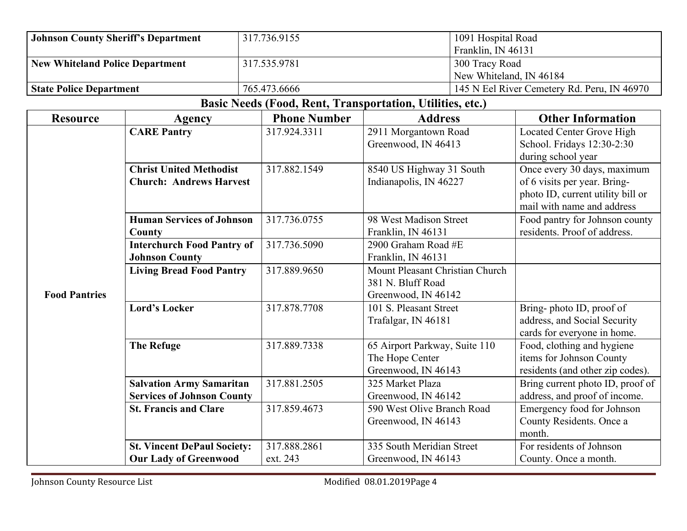| <b>Johnson County Sheriff's Department</b> |                                                                  | 317.736.9155                                              |                                                                             | 1091 Hospital Road<br>Franklin, IN 46131                                                                                       |  |
|--------------------------------------------|------------------------------------------------------------------|-----------------------------------------------------------|-----------------------------------------------------------------------------|--------------------------------------------------------------------------------------------------------------------------------|--|
| <b>New Whiteland Police Department</b>     |                                                                  | 317.535.9781                                              |                                                                             | 300 Tracy Road<br>New Whiteland, IN 46184                                                                                      |  |
| <b>State Police Department</b>             |                                                                  | 765.473.6666                                              |                                                                             | 145 N Eel River Cemetery Rd. Peru, IN 46970                                                                                    |  |
|                                            |                                                                  | Basic Needs (Food, Rent, Transportation, Utilities, etc.) |                                                                             |                                                                                                                                |  |
| <b>Resource</b>                            | Agency                                                           | <b>Phone Number</b>                                       | <b>Address</b>                                                              | <b>Other Information</b>                                                                                                       |  |
|                                            | <b>CARE Pantry</b>                                               | 317.924.3311                                              | 2911 Morgantown Road<br>Greenwood, IN 46413                                 | <b>Located Center Grove High</b><br>School. Fridays 12:30-2:30<br>during school year                                           |  |
|                                            | <b>Christ United Methodist</b><br><b>Church: Andrews Harvest</b> | 317.882.1549                                              | 8540 US Highway 31 South<br>Indianapolis, IN 46227                          | Once every 30 days, maximum<br>of 6 visits per year. Bring-<br>photo ID, current utility bill or<br>mail with name and address |  |
|                                            | <b>Human Services of Johnson</b><br>County                       | 317.736.0755                                              | 98 West Madison Street<br>Franklin, IN 46131                                | Food pantry for Johnson county<br>residents. Proof of address.                                                                 |  |
|                                            | <b>Interchurch Food Pantry of</b><br><b>Johnson County</b>       | 317.736.5090                                              | $2900$ Graham Road #E<br>Franklin, IN 46131                                 |                                                                                                                                |  |
| <b>Food Pantries</b>                       | <b>Living Bread Food Pantry</b>                                  | 317.889.9650                                              | Mount Pleasant Christian Church<br>381 N. Bluff Road<br>Greenwood, IN 46142 |                                                                                                                                |  |
|                                            | <b>Lord's Locker</b>                                             | 317.878.7708                                              | 101 S. Pleasant Street<br>Trafalgar, IN 46181                               | Bring-photo ID, proof of<br>address, and Social Security<br>cards for everyone in home.                                        |  |
|                                            | <b>The Refuge</b>                                                | 317.889.7338                                              | 65 Airport Parkway, Suite 110<br>The Hope Center<br>Greenwood, IN 46143     | Food, clothing and hygiene<br>items for Johnson County<br>residents (and other zip codes).                                     |  |
|                                            | <b>Salvation Army Samaritan</b>                                  | 317.881.2505                                              | 325 Market Plaza                                                            | Bring current photo ID, proof of                                                                                               |  |
|                                            | <b>Services of Johnson County</b>                                |                                                           | Greenwood, IN 46142                                                         | address, and proof of income.                                                                                                  |  |
|                                            | <b>St. Francis and Clare</b>                                     | 317.859.4673                                              | 590 West Olive Branch Road<br>Greenwood, IN 46143                           | Emergency food for Johnson<br>County Residents. Once a<br>month.                                                               |  |
|                                            | <b>St. Vincent DePaul Society:</b>                               | 317.888.2861                                              | 335 South Meridian Street                                                   | For residents of Johnson                                                                                                       |  |
|                                            | <b>Our Lady of Greenwood</b>                                     | ext. 243                                                  | Greenwood, IN 46143                                                         | County. Once a month.                                                                                                          |  |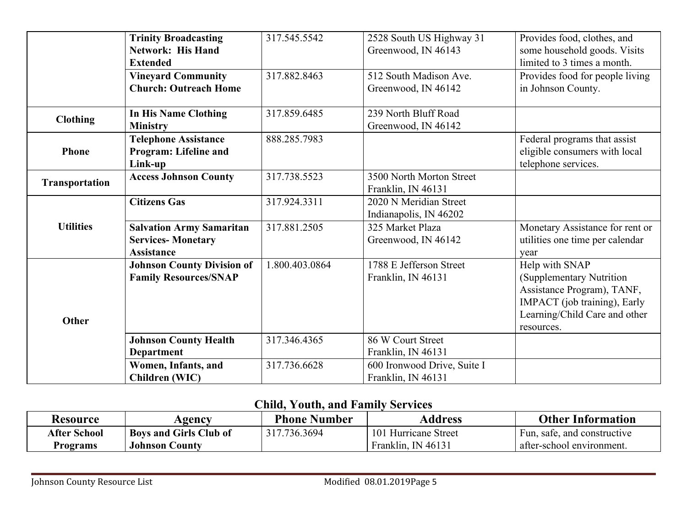|                  | <b>Trinity Broadcasting</b>       | 317.545.5542   | 2528 South US Highway 31    | Provides food, clothes, and     |
|------------------|-----------------------------------|----------------|-----------------------------|---------------------------------|
|                  | <b>Network: His Hand</b>          |                | Greenwood, IN 46143         | some household goods. Visits    |
|                  | <b>Extended</b>                   |                |                             | limited to 3 times a month.     |
|                  | <b>Vineyard Community</b>         | 317.882.8463   | 512 South Madison Ave.      | Provides food for people living |
|                  | <b>Church: Outreach Home</b>      |                | Greenwood, IN 46142         | in Johnson County.              |
|                  |                                   |                |                             |                                 |
| <b>Clothing</b>  | <b>In His Name Clothing</b>       | 317.859.6485   | 239 North Bluff Road        |                                 |
|                  | <b>Ministry</b>                   |                | Greenwood, IN 46142         |                                 |
|                  | <b>Telephone Assistance</b>       | 888.285.7983   |                             | Federal programs that assist    |
| <b>Phone</b>     | Program: Lifeline and             |                |                             | eligible consumers with local   |
|                  | Link-up                           |                |                             | telephone services.             |
| Transportation   | <b>Access Johnson County</b>      | 317.738.5523   | 3500 North Morton Street    |                                 |
|                  |                                   |                | Franklin, IN 46131          |                                 |
|                  | <b>Citizens Gas</b>               | 317.924.3311   | 2020 N Meridian Street      |                                 |
|                  |                                   |                | Indianapolis, IN 46202      |                                 |
| <b>Utilities</b> | <b>Salvation Army Samaritan</b>   | 317.881.2505   | 325 Market Plaza            | Monetary Assistance for rent or |
|                  | <b>Services-Monetary</b>          |                | Greenwood, IN 46142         | utilities one time per calendar |
|                  | <b>Assistance</b>                 |                |                             | year                            |
|                  | <b>Johnson County Division of</b> | 1.800.403.0864 | 1788 E Jefferson Street     | Help with SNAP                  |
|                  | <b>Family Resources/SNAP</b>      |                | Franklin, IN 46131          | (Supplementary Nutrition        |
|                  |                                   |                |                             | Assistance Program), TANF,      |
|                  |                                   |                |                             | IMPACT (job training), Early    |
| <b>Other</b>     |                                   |                |                             | Learning/Child Care and other   |
|                  |                                   |                |                             | resources.                      |
|                  | <b>Johnson County Health</b>      | 317.346.4365   | 86 W Court Street           |                                 |
|                  | <b>Department</b>                 |                | Franklin, IN 46131          |                                 |
|                  | Women, Infants, and               | 317.736.6628   | 600 Ironwood Drive, Suite I |                                 |
|                  | <b>Children</b> (WIC)             |                | Franklin, IN 46131          |                                 |

# **Child, Youth, and Family Services**

| Resource     | Agency                        | <b>Phone Number</b> | Address              | <b>Other Information</b>    |
|--------------|-------------------------------|---------------------|----------------------|-----------------------------|
| After School | <b>Boys and Girls Club of</b> | .736.3694           | 101 Hurricane Street | Fun, safe, and constructive |
| Programs     | <b>Johnson County</b>         |                     | Franklin, IN 46131   | after-school environment.   |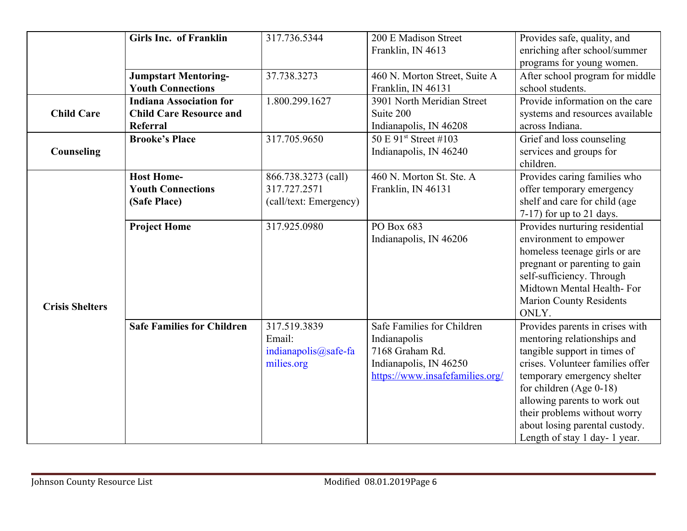|                        | Girls Inc. of Franklin            | 317.736.5344           | 200 E Madison Street              | Provides safe, quality, and      |
|------------------------|-----------------------------------|------------------------|-----------------------------------|----------------------------------|
|                        |                                   |                        | Franklin, IN 4613                 | enriching after school/summer    |
|                        |                                   |                        |                                   | programs for young women.        |
|                        | <b>Jumpstart Mentoring-</b>       | 37.738.3273            | 460 N. Morton Street, Suite A     | After school program for middle  |
|                        | <b>Youth Connections</b>          |                        | Franklin, IN 46131                | school students.                 |
|                        | <b>Indiana Association for</b>    | 1.800.299.1627         | 3901 North Meridian Street        | Provide information on the care  |
| <b>Child Care</b>      | <b>Child Care Resource and</b>    |                        | Suite 200                         | systems and resources available  |
|                        | Referral                          |                        | Indianapolis, IN 46208            | across Indiana.                  |
|                        | <b>Brooke's Place</b>             | 317.705.9650           | 50 E 91 <sup>st</sup> Street #103 | Grief and loss counseling        |
| Counseling             |                                   |                        | Indianapolis, IN 46240            | services and groups for          |
|                        |                                   |                        |                                   | children.                        |
|                        | <b>Host Home-</b>                 | 866.738.3273 (call)    | 460 N. Morton St. Ste. A          | Provides caring families who     |
|                        | <b>Youth Connections</b>          | 317.727.2571           | Franklin, IN 46131                | offer temporary emergency        |
|                        | (Safe Place)                      | (call/text: Emergency) |                                   | shelf and care for child (age    |
|                        |                                   |                        |                                   | $7-17$ ) for up to 21 days.      |
|                        | <b>Project Home</b>               | 317.925.0980           | PO Box 683                        | Provides nurturing residential   |
|                        |                                   |                        | Indianapolis, IN 46206            | environment to empower           |
|                        |                                   |                        |                                   | homeless teenage girls or are    |
|                        |                                   |                        |                                   | pregnant or parenting to gain    |
|                        |                                   |                        |                                   | self-sufficiency. Through        |
|                        |                                   |                        |                                   | Midtown Mental Health-For        |
| <b>Crisis Shelters</b> |                                   |                        |                                   | <b>Marion County Residents</b>   |
|                        |                                   |                        |                                   | ONLY.                            |
|                        | <b>Safe Families for Children</b> | 317.519.3839           | Safe Families for Children        | Provides parents in crises with  |
|                        |                                   | Email:                 | Indianapolis                      | mentoring relationships and      |
|                        |                                   | indianapolis@safe-fa   | 7168 Graham Rd.                   | tangible support in times of     |
|                        |                                   | milies.org             | Indianapolis, IN 46250            | crises. Volunteer families offer |
|                        |                                   |                        | https://www.insafefamilies.org/   | temporary emergency shelter      |
|                        |                                   |                        |                                   | for children $(Age 0-18)$        |
|                        |                                   |                        |                                   | allowing parents to work out     |
|                        |                                   |                        |                                   | their problems without worry     |
|                        |                                   |                        |                                   | about losing parental custody.   |
|                        |                                   |                        |                                   | Length of stay 1 day-1 year.     |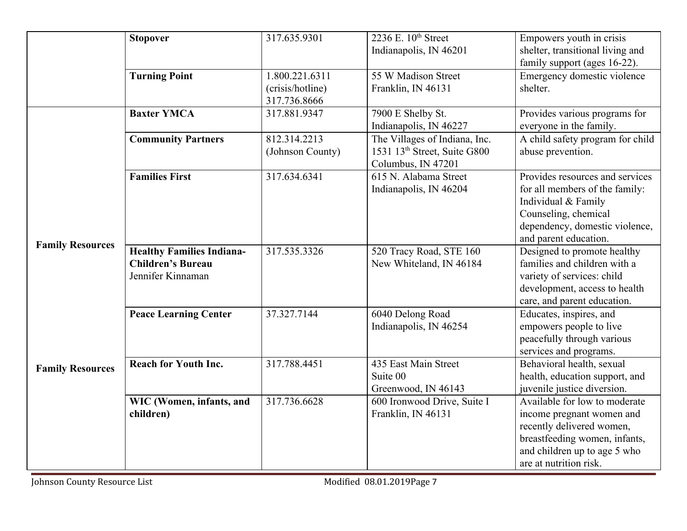|                         | <b>Stopover</b>                                                                   | 317.635.9301                                       | 2236 E. 10th Street<br>Indianapolis, IN 46201                                                   | Empowers youth in crisis<br>shelter, transitional living and<br>family support (ages 16-22).                                                                                       |
|-------------------------|-----------------------------------------------------------------------------------|----------------------------------------------------|-------------------------------------------------------------------------------------------------|------------------------------------------------------------------------------------------------------------------------------------------------------------------------------------|
|                         | <b>Turning Point</b>                                                              | 1.800.221.6311<br>(crisis/hotline)<br>317.736.8666 | 55 W Madison Street<br>Franklin, IN 46131                                                       | Emergency domestic violence<br>shelter.                                                                                                                                            |
|                         | <b>Baxter YMCA</b>                                                                | 317.881.9347                                       | 7900 E Shelby St.<br>Indianapolis, IN 46227                                                     | Provides various programs for<br>everyone in the family.                                                                                                                           |
|                         | <b>Community Partners</b>                                                         | 812.314.2213<br>(Johnson County)                   | The Villages of Indiana, Inc.<br>1531 13 <sup>th</sup> Street, Suite G800<br>Columbus, IN 47201 | A child safety program for child<br>abuse prevention.                                                                                                                              |
|                         | <b>Families First</b>                                                             | 317.634.6341                                       | 615 N. Alabama Street<br>Indianapolis, IN 46204                                                 | Provides resources and services<br>for all members of the family:<br>Individual & Family<br>Counseling, chemical<br>dependency, domestic violence,<br>and parent education.        |
| <b>Family Resources</b> | <b>Healthy Families Indiana-</b><br><b>Children's Bureau</b><br>Jennifer Kinnaman | 317.535.3326                                       | 520 Tracy Road, STE 160<br>New Whiteland, IN 46184                                              | Designed to promote healthy<br>families and children with a<br>variety of services: child<br>development, access to health<br>care, and parent education.                          |
|                         | <b>Peace Learning Center</b>                                                      | 37.327.7144                                        | 6040 Delong Road<br>Indianapolis, IN 46254                                                      | Educates, inspires, and<br>empowers people to live<br>peacefully through various<br>services and programs.                                                                         |
| <b>Family Resources</b> | <b>Reach for Youth Inc.</b>                                                       | 317.788.4451                                       | 435 East Main Street<br>Suite 00<br>Greenwood, IN 46143                                         | Behavioral health, sexual<br>health, education support, and<br>juvenile justice diversion.                                                                                         |
|                         | WIC (Women, infants, and<br>children)                                             | 317.736.6628                                       | 600 Ironwood Drive, Suite I<br>Franklin, IN 46131                                               | Available for low to moderate<br>income pregnant women and<br>recently delivered women,<br>breastfeeding women, infants,<br>and children up to age 5 who<br>are at nutrition risk. |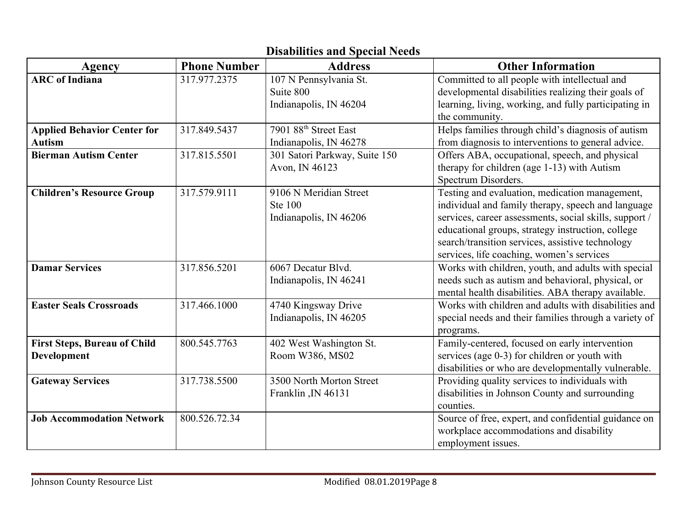| Agency                                              | <b>Phone Number</b> | <b>Address</b>                                                     | <b>Other Information</b>                                                                                                                                                                                                                                                                                             |
|-----------------------------------------------------|---------------------|--------------------------------------------------------------------|----------------------------------------------------------------------------------------------------------------------------------------------------------------------------------------------------------------------------------------------------------------------------------------------------------------------|
| <b>ARC</b> of Indiana                               | 317.977.2375        | 107 N Pennsylvania St.<br>Suite 800<br>Indianapolis, IN 46204      | Committed to all people with intellectual and<br>developmental disabilities realizing their goals of<br>learning, living, working, and fully participating in<br>the community.                                                                                                                                      |
| <b>Applied Behavior Center for</b><br><b>Autism</b> | 317.849.5437        | 7901 88 <sup>th</sup> Street East<br>Indianapolis, IN 46278        | Helps families through child's diagnosis of autism<br>from diagnosis to interventions to general advice.                                                                                                                                                                                                             |
| <b>Bierman Autism Center</b>                        | 317.815.5501        | 301 Satori Parkway, Suite 150<br>Avon, IN 46123                    | Offers ABA, occupational, speech, and physical<br>therapy for children (age 1-13) with Autism<br>Spectrum Disorders.                                                                                                                                                                                                 |
| <b>Children's Resource Group</b>                    | 317.579.9111        | 9106 N Meridian Street<br><b>Ste 100</b><br>Indianapolis, IN 46206 | Testing and evaluation, medication management,<br>individual and family therapy, speech and language<br>services, career assessments, social skills, support /<br>educational groups, strategy instruction, college<br>search/transition services, assistive technology<br>services, life coaching, women's services |
| <b>Damar Services</b>                               | 317.856.5201        | 6067 Decatur Blvd.<br>Indianapolis, IN 46241                       | Works with children, youth, and adults with special<br>needs such as autism and behavioral, physical, or<br>mental health disabilities. ABA therapy available.                                                                                                                                                       |
| <b>Easter Seals Crossroads</b>                      | 317.466.1000        | 4740 Kingsway Drive<br>Indianapolis, IN 46205                      | Works with children and adults with disabilities and<br>special needs and their families through a variety of<br>programs.                                                                                                                                                                                           |
| <b>First Steps, Bureau of Child</b><br>Development  | 800.545.7763        | 402 West Washington St.<br>Room W386, MS02                         | Family-centered, focused on early intervention<br>services (age 0-3) for children or youth with<br>disabilities or who are developmentally vulnerable.                                                                                                                                                               |
| <b>Gateway Services</b>                             | 317.738.5500        | 3500 North Morton Street<br>Franklin, IN 46131                     | Providing quality services to individuals with<br>disabilities in Johnson County and surrounding<br>counties.                                                                                                                                                                                                        |
| <b>Job Accommodation Network</b>                    | 800.526.72.34       |                                                                    | Source of free, expert, and confidential guidance on<br>workplace accommodations and disability<br>employment issues.                                                                                                                                                                                                |

# **Disabilities and Special Needs**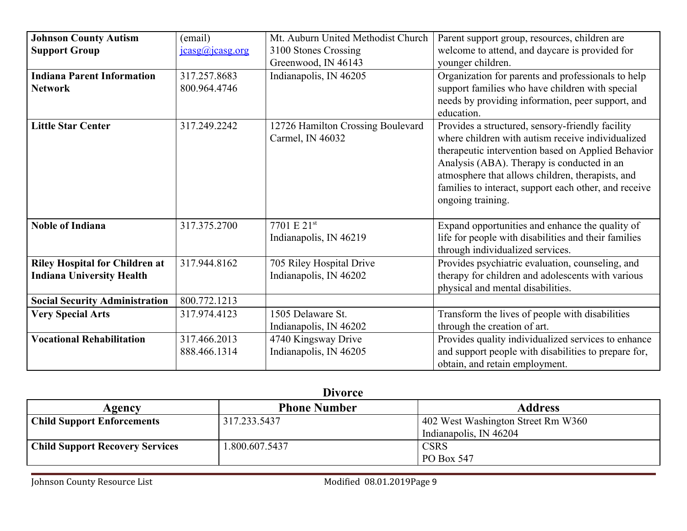| <b>Johnson County Autism</b>          | (email)                | Mt. Auburn United Methodist Church | Parent support group, resources, children are         |
|---------------------------------------|------------------------|------------------------------------|-------------------------------------------------------|
| <b>Support Group</b>                  | $i$ casg@ $i$ casg.org | 3100 Stones Crossing               | welcome to attend, and daycare is provided for        |
|                                       |                        | Greenwood, IN 46143                | younger children.                                     |
| <b>Indiana Parent Information</b>     | 317.257.8683           | Indianapolis, IN 46205             | Organization for parents and professionals to help    |
| <b>Network</b>                        | 800.964.4746           |                                    | support families who have children with special       |
|                                       |                        |                                    | needs by providing information, peer support, and     |
|                                       |                        |                                    | education.                                            |
| <b>Little Star Center</b>             | 317.249.2242           | 12726 Hamilton Crossing Boulevard  | Provides a structured, sensory-friendly facility      |
|                                       |                        | Carmel, IN 46032                   | where children with autism receive individualized     |
|                                       |                        |                                    | therapeutic intervention based on Applied Behavior    |
|                                       |                        |                                    | Analysis (ABA). Therapy is conducted in an            |
|                                       |                        |                                    | atmosphere that allows children, therapists, and      |
|                                       |                        |                                    | families to interact, support each other, and receive |
|                                       |                        |                                    | ongoing training.                                     |
|                                       |                        |                                    |                                                       |
| <b>Noble of Indiana</b>               | 317.375.2700           | 7701 E 21st                        | Expand opportunities and enhance the quality of       |
|                                       |                        | Indianapolis, IN 46219             | life for people with disabilities and their families  |
|                                       |                        |                                    | through individualized services.                      |
| <b>Riley Hospital for Children at</b> | 317.944.8162           | 705 Riley Hospital Drive           | Provides psychiatric evaluation, counseling, and      |
| <b>Indiana University Health</b>      |                        | Indianapolis, IN 46202             | therapy for children and adolescents with various     |
|                                       |                        |                                    | physical and mental disabilities.                     |
| <b>Social Security Administration</b> | 800.772.1213           |                                    |                                                       |
| <b>Very Special Arts</b>              | 317.974.4123           | 1505 Delaware St.                  | Transform the lives of people with disabilities       |
|                                       |                        | Indianapolis, IN 46202             | through the creation of art.                          |
| <b>Vocational Rehabilitation</b>      | 317.466.2013           | 4740 Kingsway Drive                | Provides quality individualized services to enhance   |
|                                       | 888.466.1314           | Indianapolis, IN 46205             | and support people with disabilities to prepare for,  |
|                                       |                        |                                    | obtain, and retain employment.                        |

| Agency                                 | <b>Phone Number</b> | <b>Address</b>                     |
|----------------------------------------|---------------------|------------------------------------|
| <b>Child Support Enforcements</b>      | 317.233.5437        | 402 West Washington Street Rm W360 |
|                                        |                     | Indianapolis, IN 46204             |
| <b>Child Support Recovery Services</b> | .800.607.5437       | <b>CSRS</b>                        |
|                                        |                     | PO Box 547                         |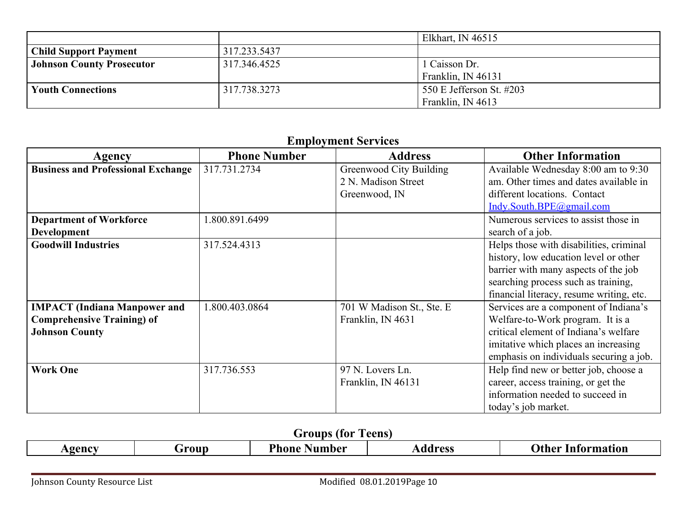|                                  |              | Elkhart, IN $46515$      |
|----------------------------------|--------------|--------------------------|
| <b>Child Support Payment</b>     | 317.233.5437 |                          |
| <b>Johnson County Prosecutor</b> | 317.346.4525 | l Caisson Dr.            |
|                                  |              | Franklin, IN 46131       |
| <b>Youth Connections</b>         | 317.738.3273 | 550 E Jefferson St. #203 |
|                                  |              | Franklin, IN 4613        |

## **Employment Services**

| Agency                                                                                            | <b>Phone Number</b> | <b>Address</b>                                                         | <b>Other Information</b>                                                                                                                                                                                    |
|---------------------------------------------------------------------------------------------------|---------------------|------------------------------------------------------------------------|-------------------------------------------------------------------------------------------------------------------------------------------------------------------------------------------------------------|
| <b>Business and Professional Exchange</b>                                                         | 317.731.2734        | <b>Greenwood City Building</b><br>2 N. Madison Street<br>Greenwood, IN | Available Wednesday 8:00 am to 9:30<br>am. Other times and dates available in<br>different locations. Contact<br>Indy.South.BPE@gmail.com                                                                   |
| <b>Department of Workforce</b><br><b>Development</b>                                              | 1.800.891.6499      |                                                                        | Numerous services to assist those in<br>search of a job.                                                                                                                                                    |
| <b>Goodwill Industries</b>                                                                        | 317.524.4313        |                                                                        | Helps those with disabilities, criminal<br>history, low education level or other<br>barrier with many aspects of the job<br>searching process such as training,<br>financial literacy, resume writing, etc. |
| <b>IMPACT</b> (Indiana Manpower and<br><b>Comprehensive Training) of</b><br><b>Johnson County</b> | 1.800.403.0864      | 701 W Madison St., Ste. E<br>Franklin, IN 4631                         | Services are a component of Indiana's<br>Welfare-to-Work program. It is a<br>critical element of Indiana's welfare<br>imitative which places an increasing<br>emphasis on individuals securing a job.       |
| <b>Work One</b>                                                                                   | 317.736.553         | 97 N. Lovers Ln.<br>Franklin, IN 46131                                 | Help find new or better job, choose a<br>career, access training, or get the<br>information needed to succeed in<br>today's job market.                                                                     |

|        |      | , (for<br>Groups   | Teens   |                          |
|--------|------|--------------------|---------|--------------------------|
| Agency | roup | Phone.<br>: Number | Address | <b>Other Information</b> |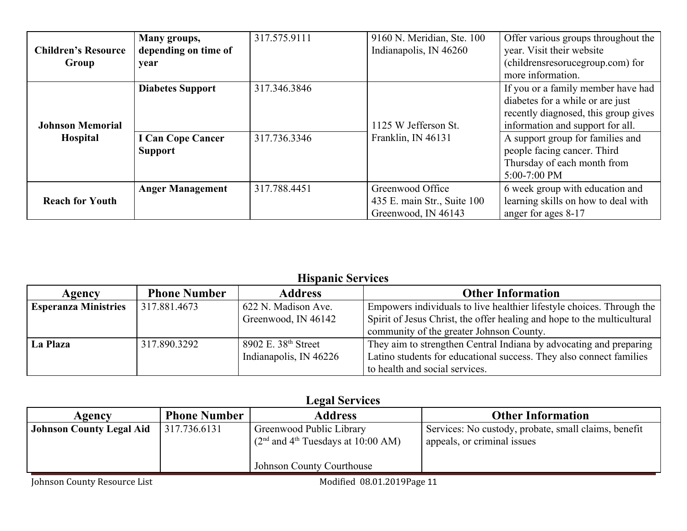| <b>Children's Resource</b><br>Group        | Many groups,<br>depending on time of<br>year                          | 317.575.9111                 | 9160 N. Meridian, Ste. 100<br>Indianapolis, IN 46260                   | Offer various groups throughout the<br>year. Visit their website<br>(childrens resort comp.com) for<br>more information.                                                                                                                                             |
|--------------------------------------------|-----------------------------------------------------------------------|------------------------------|------------------------------------------------------------------------|----------------------------------------------------------------------------------------------------------------------------------------------------------------------------------------------------------------------------------------------------------------------|
| <b>Johnson Memorial</b><br><b>Hospital</b> | <b>Diabetes Support</b><br><b>I Can Cope Cancer</b><br><b>Support</b> | 317.346.3846<br>317.736.3346 | 1125 W Jefferson St.<br>Franklin, IN 46131                             | If you or a family member have had<br>diabetes for a while or are just<br>recently diagnosed, this group gives<br>information and support for all.<br>A support group for families and<br>people facing cancer. Third<br>Thursday of each month from<br>5:00-7:00 PM |
| <b>Reach for Youth</b>                     | <b>Anger Management</b>                                               | 317.788.4451                 | Greenwood Office<br>435 E. main Str., Suite 100<br>Greenwood, IN 46143 | 6 week group with education and<br>learning skills on how to deal with<br>anger for ages 8-17                                                                                                                                                                        |

### **Hispanic Services**

| Agency                      | <b>Phone Number</b> | <b>Address</b>                  | <b>Other Information</b>                                                |
|-----------------------------|---------------------|---------------------------------|-------------------------------------------------------------------------|
| <b>Esperanza Ministries</b> | 317.881.4673        | 622 N. Madison Ave.             | Empowers individuals to live healthier lifestyle choices. Through the   |
|                             |                     | Greenwood, IN 46142             | Spirit of Jesus Christ, the offer healing and hope to the multicultural |
|                             |                     |                                 | community of the greater Johnson County.                                |
| La Plaza                    | 317.890.3292        | 8902 E. 38 <sup>th</sup> Street | They aim to strengthen Central Indiana by advocating and preparing      |
|                             |                     | Indianapolis, IN 46226          | Latino students for educational success. They also connect families     |
|                             |                     |                                 | to health and social services.                                          |

### **Legal Services**

| Agency                                         | <b>Phone Number</b> | <b>Address</b>                                                                                            | <b>Other Information</b>                                                              |
|------------------------------------------------|---------------------|-----------------------------------------------------------------------------------------------------------|---------------------------------------------------------------------------------------|
| <b>Johnson County Legal Aid</b>   317.736.6131 |                     | Greenwood Public Library<br>$(2nd$ and 4 <sup>th</sup> Tuesdays at 10:00 AM)<br>Johnson County Courthouse | Services: No custody, probate, small claims, benefit<br>I appeals, or criminal issues |
|                                                |                     |                                                                                                           |                                                                                       |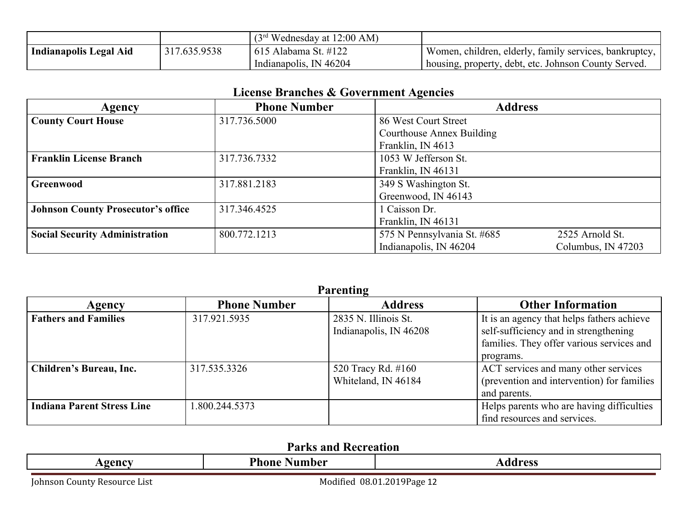|                        |              | $(3rd Wednesday at 12:00 AM)$     |                                                        |
|------------------------|--------------|-----------------------------------|--------------------------------------------------------|
| Indianapolis Legal Aid | 317.635.9538 | <sup>1</sup> 615 Alabama St. #122 | Women, children, elderly, family services, bankruptcy. |
|                        |              | Indianapolis, IN 46204            | I housing, property, debt, etc. Johnson County Served. |

|  |  | <b>License Branches &amp; Government Agencies</b> |
|--|--|---------------------------------------------------|
|--|--|---------------------------------------------------|

| Agency                                    | <b>Phone Number</b> | $\sim$<br><b>Address</b>    |                    |
|-------------------------------------------|---------------------|-----------------------------|--------------------|
| <b>County Court House</b>                 | 317.736.5000        | 86 West Court Street        |                    |
|                                           |                     | Courthouse Annex Building   |                    |
|                                           |                     | Franklin, IN 4613           |                    |
| <b>Franklin License Branch</b>            | 317.736.7332        | 1053 W Jefferson St.        |                    |
|                                           |                     | Franklin, IN 46131          |                    |
| Greenwood                                 | 317.881.2183        | 349 S Washington St.        |                    |
|                                           |                     | Greenwood, IN 46143         |                    |
| <b>Johnson County Prosecutor's office</b> | 317.346.4525        | 1 Caisson Dr.               |                    |
|                                           |                     | Franklin, IN 46131          |                    |
| <b>Social Security Administration</b>     | 800.772.1213        | 575 N Pennsylvania St. #685 | 2525 Arnold St.    |
|                                           |                     | Indianapolis, IN 46204      | Columbus, IN 47203 |

|                                   |                     | <b>Parenting</b>                               |                                                                                                                                               |
|-----------------------------------|---------------------|------------------------------------------------|-----------------------------------------------------------------------------------------------------------------------------------------------|
| Agency                            | <b>Phone Number</b> | <b>Address</b>                                 | <b>Other Information</b>                                                                                                                      |
| <b>Fathers and Families</b>       | 317.921.5935        | 2835 N. Illinois St.<br>Indianapolis, IN 46208 | It is an agency that helps fathers achieve<br>self-sufficiency and in strengthening<br>families. They offer various services and<br>programs. |
| <b>Children's Bureau, Inc.</b>    | 317.535.3326        | 520 Tracy Rd. #160<br>Whiteland, IN 46184      | ACT services and many other services<br>(prevention and intervention) for families<br>and parents.                                            |
| <b>Indiana Parent Stress Line</b> | 800.244.5373        |                                                | Helps parents who are having difficulties<br>find resources and services.                                                                     |

# **Parks and Recreation**

| <b>D</b> <sup>L</sup><br>AAN AJ<br>IA PACC<br>.<br>Aumber -<br>7none<br>ັບປະຕິ |
|--------------------------------------------------------------------------------|
|--------------------------------------------------------------------------------|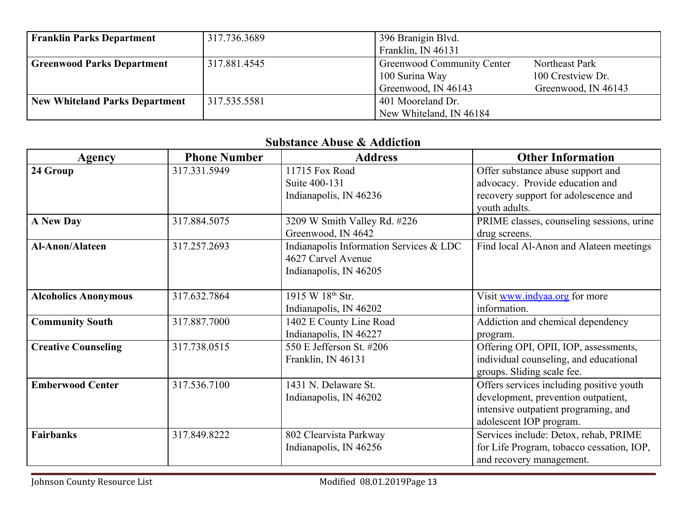| <b>Franklin Parks Department</b>      | 317.736.3689 | 396 Branigin Blvd.         |                     |
|---------------------------------------|--------------|----------------------------|---------------------|
|                                       |              | Franklin, IN 46131         |                     |
| <b>Greenwood Parks Department</b>     | 317.881.4545 | Greenwood Community Center | Northeast Park      |
|                                       |              | 100 Surina Way             | 100 Crestview Dr.   |
|                                       |              | Greenwood, IN 46143        | Greenwood, IN 46143 |
| <b>New Whiteland Parks Department</b> | 317.535.5581 | 401 Mooreland Dr.          |                     |
|                                       |              | New Whiteland, IN 46184    |                     |

#### **Substance Abuse & Addiction**

| Agency                      | <b>Phone Number</b> | <b>Address</b>                          | <b>Other Information</b>                  |
|-----------------------------|---------------------|-----------------------------------------|-------------------------------------------|
| 24 Group                    | 317.331.5949        | 11715 Fox Road                          | Offer substance abuse support and         |
|                             |                     | Suite 400-131                           | advocacy. Provide education and           |
|                             |                     | Indianapolis, IN 46236                  | recovery support for adolescence and      |
|                             |                     |                                         | youth adults.                             |
| <b>A New Day</b>            | 317.884.5075        | 3209 W Smith Valley Rd. #226            | PRIME classes, counseling sessions, urine |
|                             |                     | Greenwood, IN 4642                      | drug screens.                             |
| <b>Al-Anon/Alateen</b>      | 317.257.2693        | Indianapolis Information Services & LDC | Find local Al-Anon and Alateen meetings   |
|                             |                     | 4627 Carvel Avenue                      |                                           |
|                             |                     | Indianapolis, IN 46205                  |                                           |
|                             |                     |                                         |                                           |
| <b>Alcoholics Anonymous</b> | 317.632.7864        | 1915 W 18th Str.                        | Visit www.indyaa.org for more             |
|                             |                     | Indianapolis, IN 46202                  | information.                              |
| <b>Community South</b>      | 317.887.7000        | 1402 E County Line Road                 | Addiction and chemical dependency         |
|                             |                     | Indianapolis, IN 46227                  | program.                                  |
| <b>Creative Counseling</b>  | 317.738.0515        | 550 E Jefferson St. #206                | Offering OPI, OPII, IOP, assessments,     |
|                             |                     | Franklin, IN 46131                      | individual counseling, and educational    |
|                             |                     |                                         | groups. Sliding scale fee.                |
| <b>Emberwood Center</b>     | 317.536.7100        | 1431 N. Delaware St.                    | Offers services including positive youth  |
|                             |                     | Indianapolis, IN 46202                  | development, prevention outpatient,       |
|                             |                     |                                         | intensive outpatient programing, and      |
|                             |                     |                                         | adolescent IOP program.                   |
| <b>Fairbanks</b>            | 317.849.8222        | 802 Clearvista Parkway                  | Services include: Detox, rehab, PRIME     |
|                             |                     | Indianapolis, IN 46256                  | for Life Program, tobacco cessation, IOP, |
|                             |                     |                                         | and recovery management.                  |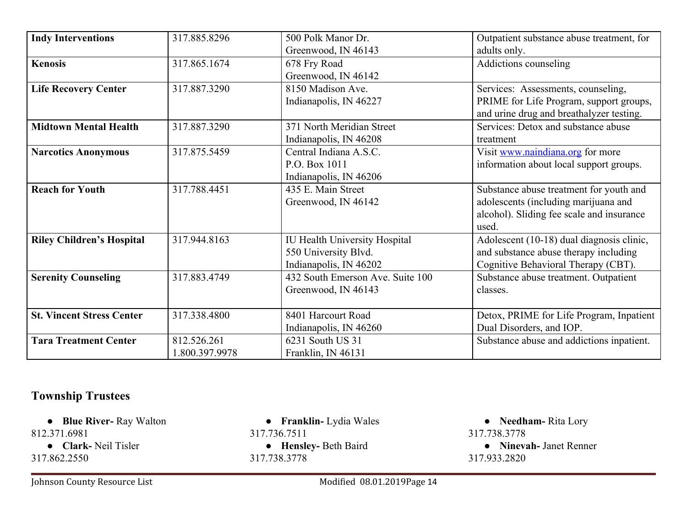| <b>Indy Interventions</b>        | 317.885.8296   | 500 Polk Manor Dr.                   | Outpatient substance abuse treatment, for |
|----------------------------------|----------------|--------------------------------------|-------------------------------------------|
|                                  |                | Greenwood, IN 46143                  | adults only.                              |
| <b>Kenosis</b>                   | 317.865.1674   | 678 Fry Road                         | Addictions counseling                     |
|                                  |                | Greenwood, IN 46142                  |                                           |
| <b>Life Recovery Center</b>      | 317.887.3290   | 8150 Madison Ave.                    | Services: Assessments, counseling,        |
|                                  |                | Indianapolis, IN 46227               | PRIME for Life Program, support groups,   |
|                                  |                |                                      | and urine drug and breathalyzer testing.  |
| <b>Midtown Mental Health</b>     | 317.887.3290   | 371 North Meridian Street            | Services: Detox and substance abuse       |
|                                  |                | Indianapolis, IN 46208               | treatment                                 |
| <b>Narcotics Anonymous</b>       | 317.875.5459   | Central Indiana A.S.C.               | Visit www.naindiana.org for more          |
|                                  |                | P.O. Box 1011                        | information about local support groups.   |
|                                  |                | Indianapolis, IN 46206               |                                           |
| <b>Reach for Youth</b>           | 317.788.4451   | 435 E. Main Street                   | Substance abuse treatment for youth and   |
|                                  |                | Greenwood, IN 46142                  | adolescents (including marijuana and      |
|                                  |                |                                      | alcohol). Sliding fee scale and insurance |
|                                  |                |                                      | used.                                     |
| <b>Riley Children's Hospital</b> | 317.944.8163   | <b>IU Health University Hospital</b> | Adolescent (10-18) dual diagnosis clinic, |
|                                  |                | 550 University Blvd.                 | and substance abuse therapy including     |
|                                  |                | Indianapolis, IN 46202               | Cognitive Behavioral Therapy (CBT).       |
| <b>Serenity Counseling</b>       | 317.883.4749   | 432 South Emerson Ave. Suite 100     | Substance abuse treatment. Outpatient     |
|                                  |                | Greenwood, IN 46143                  | classes.                                  |
|                                  |                |                                      |                                           |
| <b>St. Vincent Stress Center</b> | 317.338.4800   | 8401 Harcourt Road                   | Detox, PRIME for Life Program, Inpatient  |
|                                  |                | Indianapolis, IN 46260               | Dual Disorders, and IOP.                  |
| <b>Tara Treatment Center</b>     | 812.526.261    | 6231 South US 31                     | Substance abuse and addictions inpatient. |
|                                  | 1.800.397.9978 | Franklin, IN 46131                   |                                           |

## **Township Trustees**

● **Blue River-** Ray Walton 812.371.6981

● **Clark-** Neil Tisler 317.862.2550

Johnson County Resource List **Modified 08.01.2019Page 14** 

● **Franklin-** Lydia Wales 317.736.7511 ● **Hensley-** Beth Baird 317.738.3778

● **Needham-** Rita Lory 317.738.3778 ● **Ninevah-** Janet Renner 317.933.2820